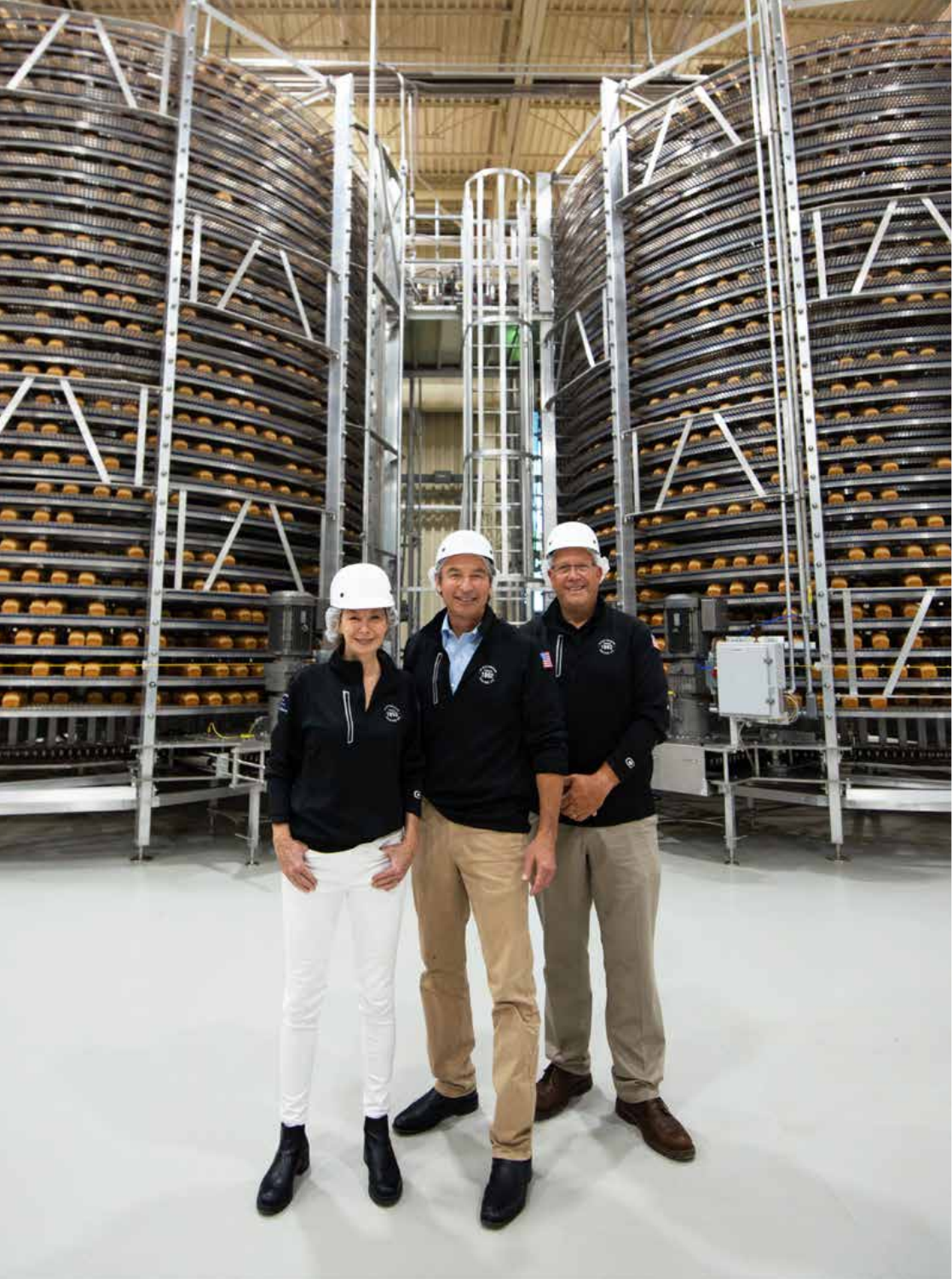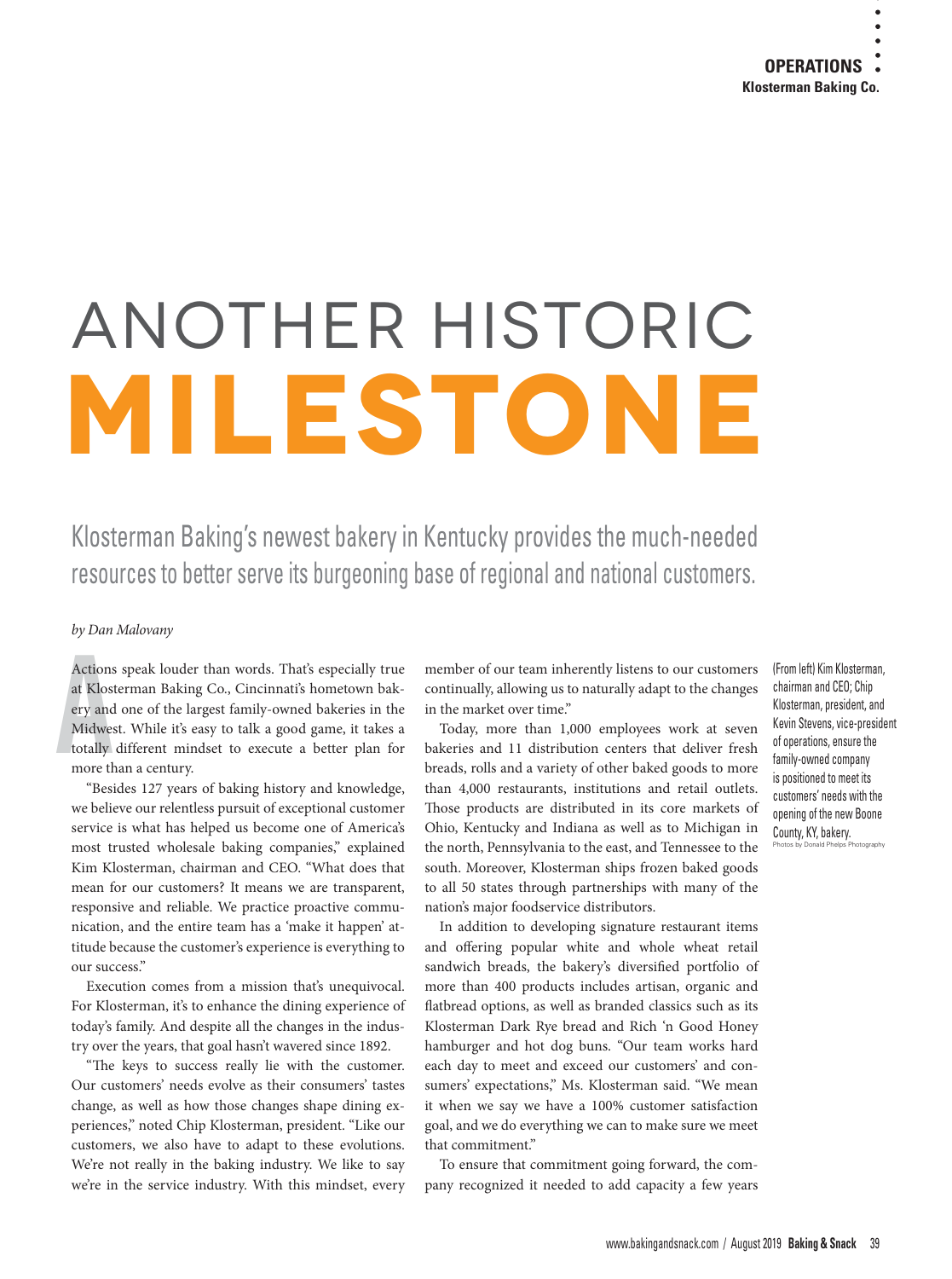# Another Historic **Milestone**

Klosterman Baking's newest bakery in Kentucky provides the much-needed resources to better serve its burgeoning base of regional and national customers.

#### *by Dan Malovany*

at Klos<br>ery and<br>Midwe<br>totally<br>more th Actions speak louder than words. That's especially true at Klosterman Baking Co., Cincinnati's hometown bakery and one of the largest family-owned bakeries in the Midwest. While it's easy to talk a good game, it takes a totally different mindset to execute a better plan for more than a century.

"Besides 127 years of baking history and knowledge, we believe our relentless pursuit of exceptional customer service is what has helped us become one of America's most trusted wholesale baking companies," explained Kim Klosterman, chairman and CEO. "What does that mean for our customers? It means we are transparent, responsive and reliable. We practice proactive communication, and the entire team has a 'make it happen' attitude because the customer's experience is everything to our success."

Execution comes from a mission that's unequivocal. For Klosterman, it's to enhance the dining experience of today's family. And despite all the changes in the industry over the years, that goal hasn't wavered since 1892.

"The keys to success really lie with the customer. Our customers' needs evolve as their consumers' tastes change, as well as how those changes shape dining experiences," noted Chip Klosterman, president. "Like our customers, we also have to adapt to these evolutions. We're not really in the baking industry. We like to say we're in the service industry. With this mindset, every member of our team inherently listens to our customers continually, allowing us to naturally adapt to the changes in the market over time."

Today, more than 1,000 employees work at seven bakeries and 11 distribution centers that deliver fresh breads, rolls and a variety of other baked goods to more than 4,000 restaurants, institutions and retail outlets. Those products are distributed in its core markets of Ohio, Kentucky and Indiana as well as to Michigan in the north, Pennsylvania to the east, and Tennessee to the south. Moreover, Klosterman ships frozen baked goods to all 50 states through partnerships with many of the nation's major foodservice distributors.

In addition to developing signature restaurant items and offering popular white and whole wheat retail sandwich breads, the bakery's diversified portfolio of more than 400 products includes artisan, organic and flatbread options, as well as branded classics such as its Klosterman Dark Rye bread and Rich 'n Good Honey hamburger and hot dog buns. "Our team works hard each day to meet and exceed our customers' and consumers' expectations," Ms. Klosterman said. "We mean it when we say we have a 100% customer satisfaction goal, and we do everything we can to make sure we meet that commitment."

To ensure that commitment going forward, the company recognized it needed to add capacity a few years (From left) Kim Klosterman, chairman and CEO; Chip Klosterman, president, and Kevin Stevens, vice-president of operations, ensure the family-owned company is positioned to meet its customers' needs with the opening of the new Boone County, KY, bakery. Photos by Donald Phelps Photography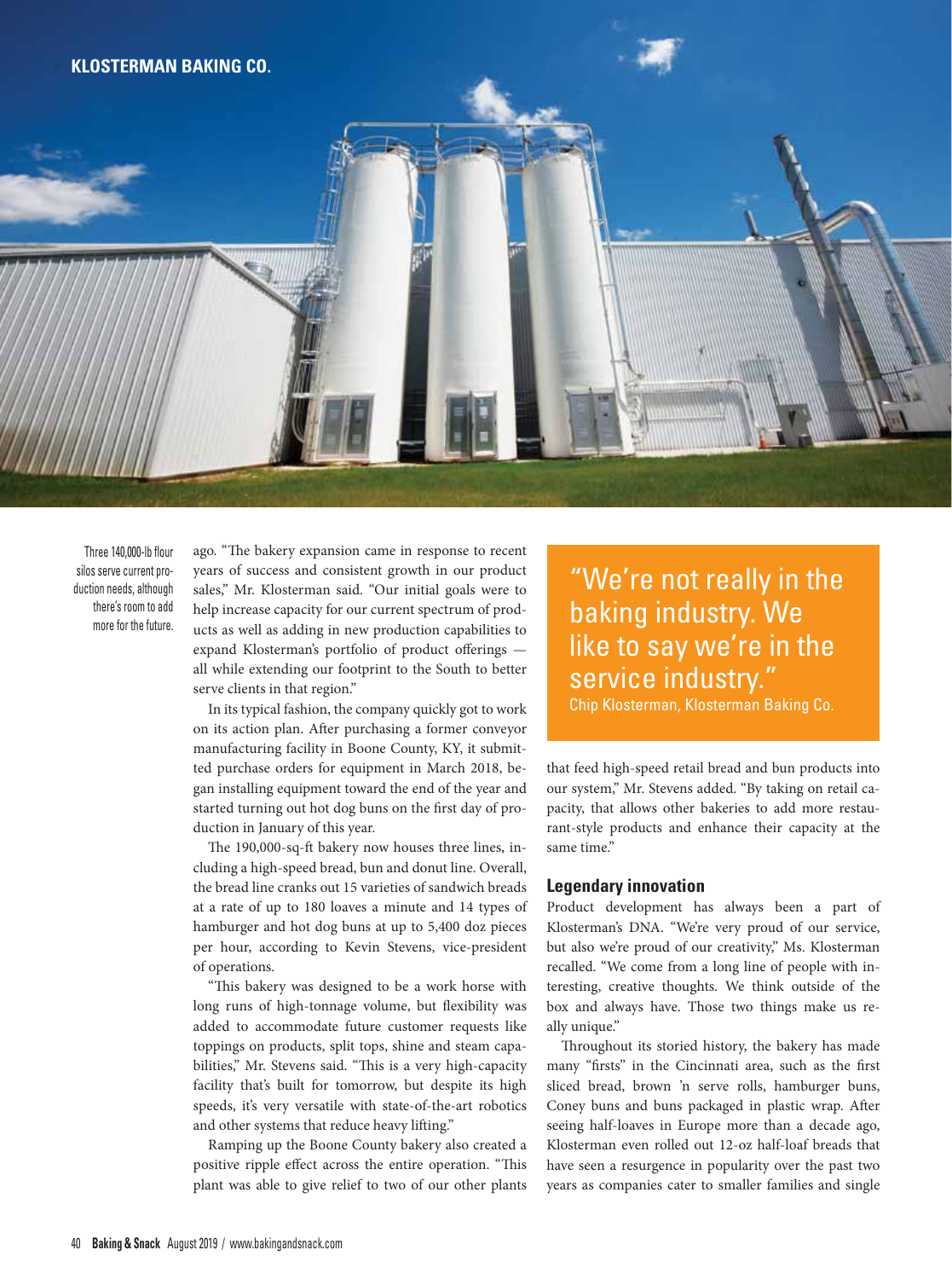

Three 140,000-lb flour silos serve current production needs, although there's room to add more for the future.

ago. "The bakery expansion came in response to recent years of success and consistent growth in our product sales," Mr. Klosterman said. "Our initial goals were to help increase capacity for our current spectrum of products as well as adding in new production capabilities to expand Klosterman's portfolio of product offerings all while extending our footprint to the South to better serve clients in that region."

In its typical fashion, the company quickly got to work on its action plan. After purchasing a former conveyor manufacturing facility in Boone County, KY, it submitted purchase orders for equipment in March 2018, began installing equipment toward the end of the year and started turning out hot dog buns on the first day of production in January of this year.

The 190,000-sq-ft bakery now houses three lines, including a high-speed bread, bun and donut line. Overall, the bread line cranks out 15 varieties of sandwich breads at a rate of up to 180 loaves a minute and 14 types of hamburger and hot dog buns at up to 5,400 doz pieces per hour, according to Kevin Stevens, vice-president of operations.

"This bakery was designed to be a work horse with long runs of high-tonnage volume, but flexibility was added to accommodate future customer requests like toppings on products, split tops, shine and steam capabilities," Mr. Stevens said. "This is a very high-capacity facility that's built for tomorrow, but despite its high speeds, it's very versatile with state-of-the-art robotics and other systems that reduce heavy lifting."

Ramping up the Boone County bakery also created a positive ripple effect across the entire operation. "This plant was able to give relief to two of our other plants

"We're not really in the baking industry. We like to say we're in the service industry." Chip Klosterman, Klosterman Baking Co.

that feed high-speed retail bread and bun products into our system," Mr. Stevens added. "By taking on retail capacity, that allows other bakeries to add more restaurant-style products and enhance their capacity at the same time."

#### **Legendary innovation**

Product development has always been a part of Klosterman's DNA. "We're very proud of our service, but also we're proud of our creativity," Ms. Klosterman recalled. "We come from a long line of people with interesting, creative thoughts. We think outside of the box and always have. Those two things make us really unique."

Throughout its storied history, the bakery has made many "firsts" in the Cincinnati area, such as the first sliced bread, brown 'n serve rolls, hamburger buns, Coney buns and buns packaged in plastic wrap. After seeing half-loaves in Europe more than a decade ago, Klosterman even rolled out 12-oz half-loaf breads that have seen a resurgence in popularity over the past two years as companies cater to smaller families and single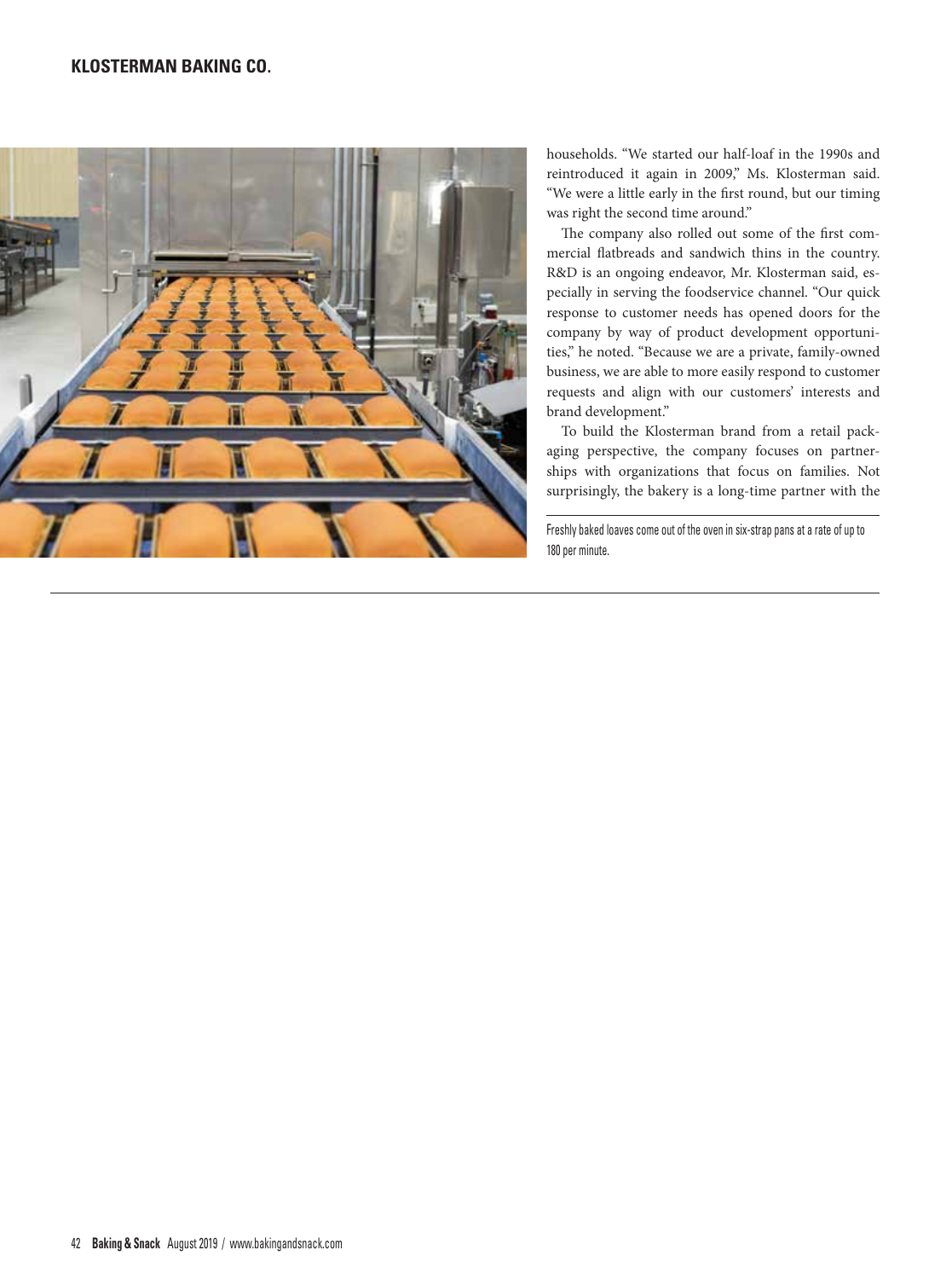#### **KLOSTERMAN BAKING CO.**



households. "We started our half-loaf in the 1990s and reintroduced it again in 2009," Ms. Klosterman said. "We were a little early in the first round, but our timing was right the second time around."

The company also rolled out some of the first commercial flatbreads and sandwich thins in the country. R&D is an ongoing endeavor, Mr. Klosterman said, especially in serving the foodservice channel. "Our quick response to customer needs has opened doors for the company by way of product development opportunities," he noted. "Because we are a private, family-owned business, we are able to more easily respond to customer requests and align with our customers' interests and brand development."

To build the Klosterman brand from a retail packaging perspective, the company focuses on partnerships with organizations that focus on families. Not surprisingly, the bakery is a long-time partner with the

Freshly baked loaves come out of the oven in six-strap pans at a rate of up to 180 per minute.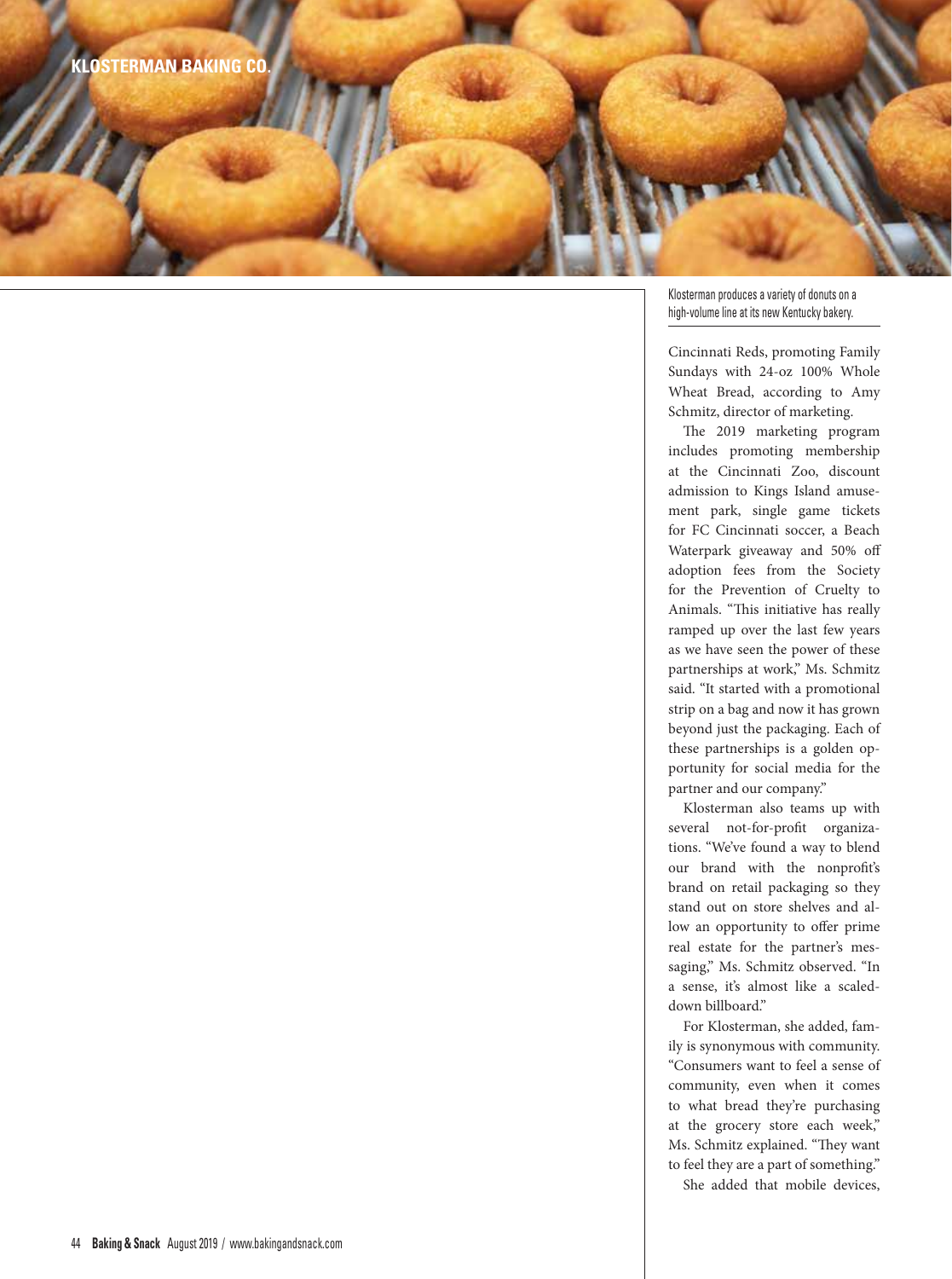

Klosterman produces a variety of donuts on a high-volume line at its new Kentucky bakery.

Cincinnati Reds, promoting Family Sundays with 24-oz 100% Whole Wheat Bread, according to Amy Schmitz, director of marketing.

The 2019 marketing program includes promoting membership at the Cincinnati Zoo, discount admission to Kings Island amusement park, single game tickets for FC Cincinnati soccer, a Beach Waterpark giveaway and 50% off adoption fees from the Society for the Prevention of Cruelty to Animals. "This initiative has really ramped up over the last few years as we have seen the power of these partnerships at work," Ms. Schmitz said. "It started with a promotional strip on a bag and now it has grown beyond just the packaging. Each of these partnerships is a golden opportunity for social media for the partner and our company."

Klosterman also teams up with several not-for-profit organizations. "We've found a way to blend our brand with the nonprofit's brand on retail packaging so they stand out on store shelves and allow an opportunity to offer prime real estate for the partner's messaging," Ms. Schmitz observed. "In a sense, it's almost like a scaleddown billboard."

For Klosterman, she added, family is synonymous with community. "Consumers want to feel a sense of community, even when it comes to what bread they're purchasing at the grocery store each week," Ms. Schmitz explained. "They want to feel they are a part of something." She added that mobile devices,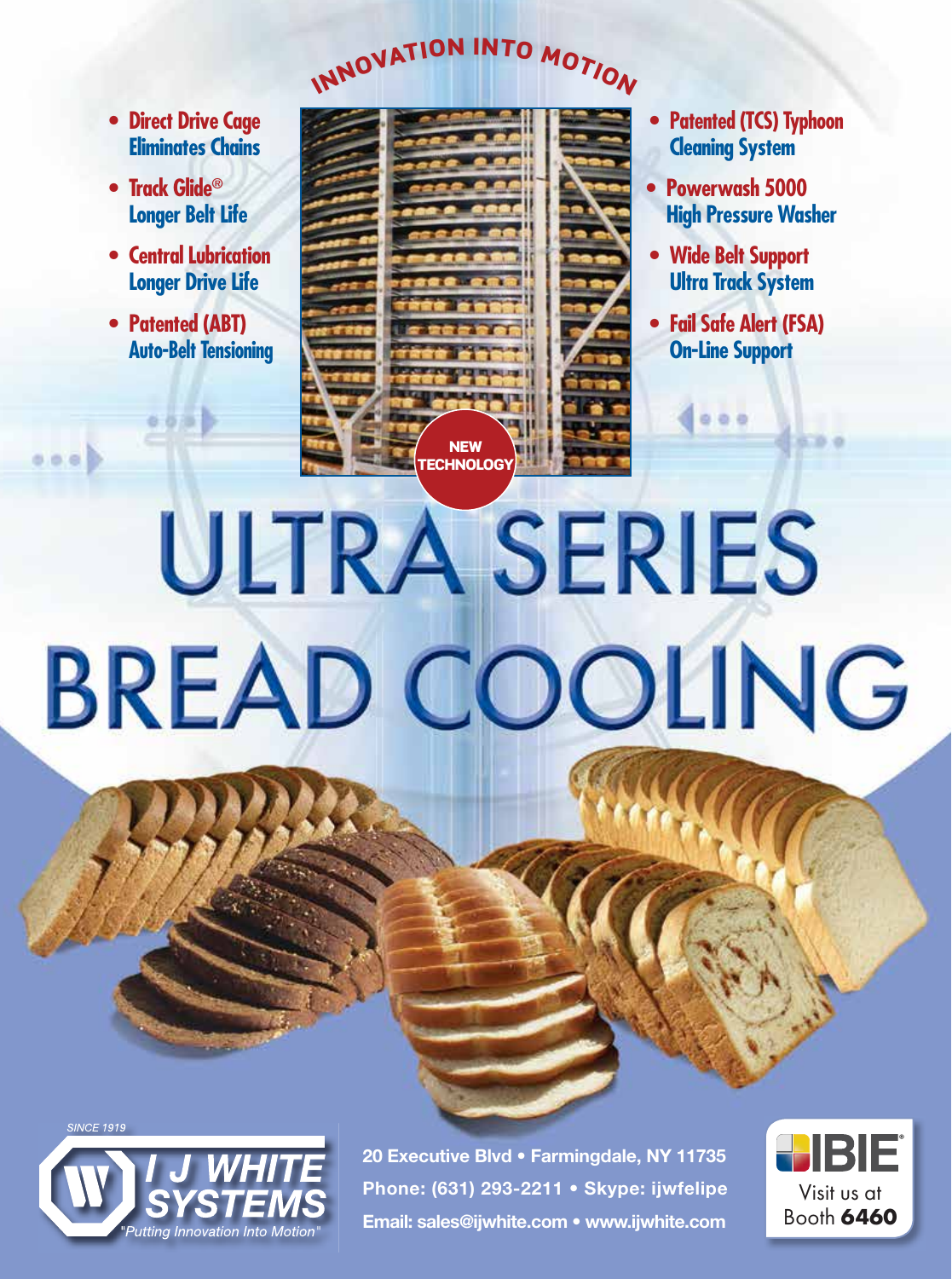## INNOVATION INTO MOTION

- **Direct Drive Cage Eliminates Chains**
- **Track Glide® Longer Belt Life**
- **Central Lubrication Longer Drive Life**
- **Patented (ABT) Auto-Belt Tensioning**

 $6.6.8.8$ 

 $0.0.0.0$ 



- **Patented (TCS) Typhoon Cleaning System**
- **Powerwash 5000 High Pressure Washer**
- **Wide Belt Support Ultra Track System**
- **Fail Safe Alert (FSA) On-Line Support**

...

ULTRA SERIES **BREAD COOLING** 

**SINCF 1919** 



20 Executive Blvd • Farmingdale, NY 11735 Phone: (631) 293-2211 • Skype: ijwfelipe Email: sales@ijwhite.com • www.ijwhite.com

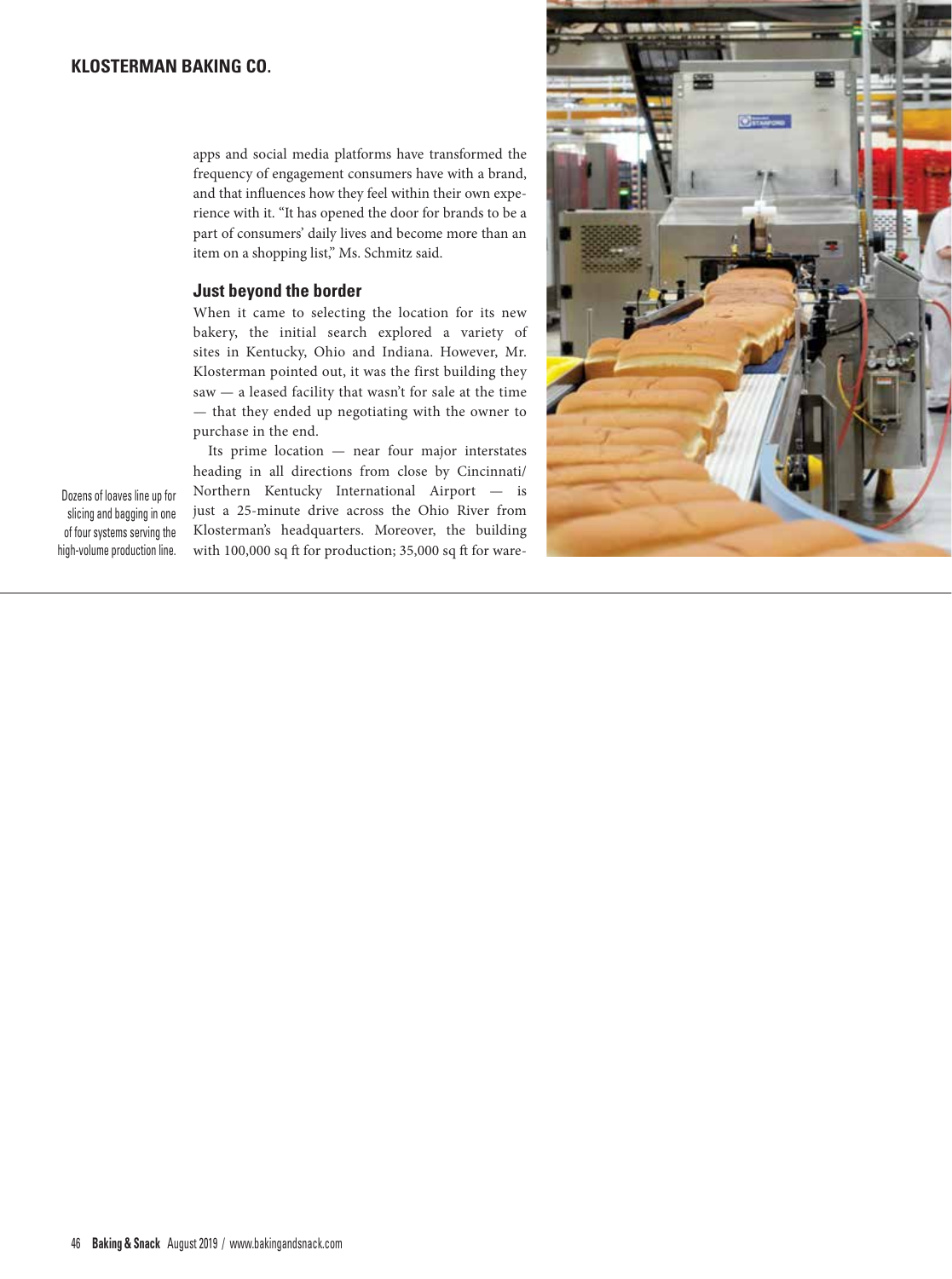apps and social media platforms have transformed the frequency of engagement consumers have with a brand, and that influences how they feel within their own experience with it. "It has opened the door for brands to be a part of consumers' daily lives and become more than an item on a shopping list," Ms. Schmitz said.

#### **Just beyond the border**

When it came to selecting the location for its new bakery, the initial search explored a variety of sites in Kentucky, Ohio and Indiana. However, Mr. Klosterman pointed out, it was the first building they saw — a leased facility that wasn't for sale at the time — that they ended up negotiating with the owner to purchase in the end.

Dozens of loaves line up for slicing and bagging in one of four systems serving the high-volume production line.

Its prime location — near four major interstates heading in all directions from close by Cincinnati/ Northern Kentucky International Airport — is just a 25-minute drive across the Ohio River from Klosterman's headquarters. Moreover, the building with 100,000 sq ft for production; 35,000 sq ft for ware-

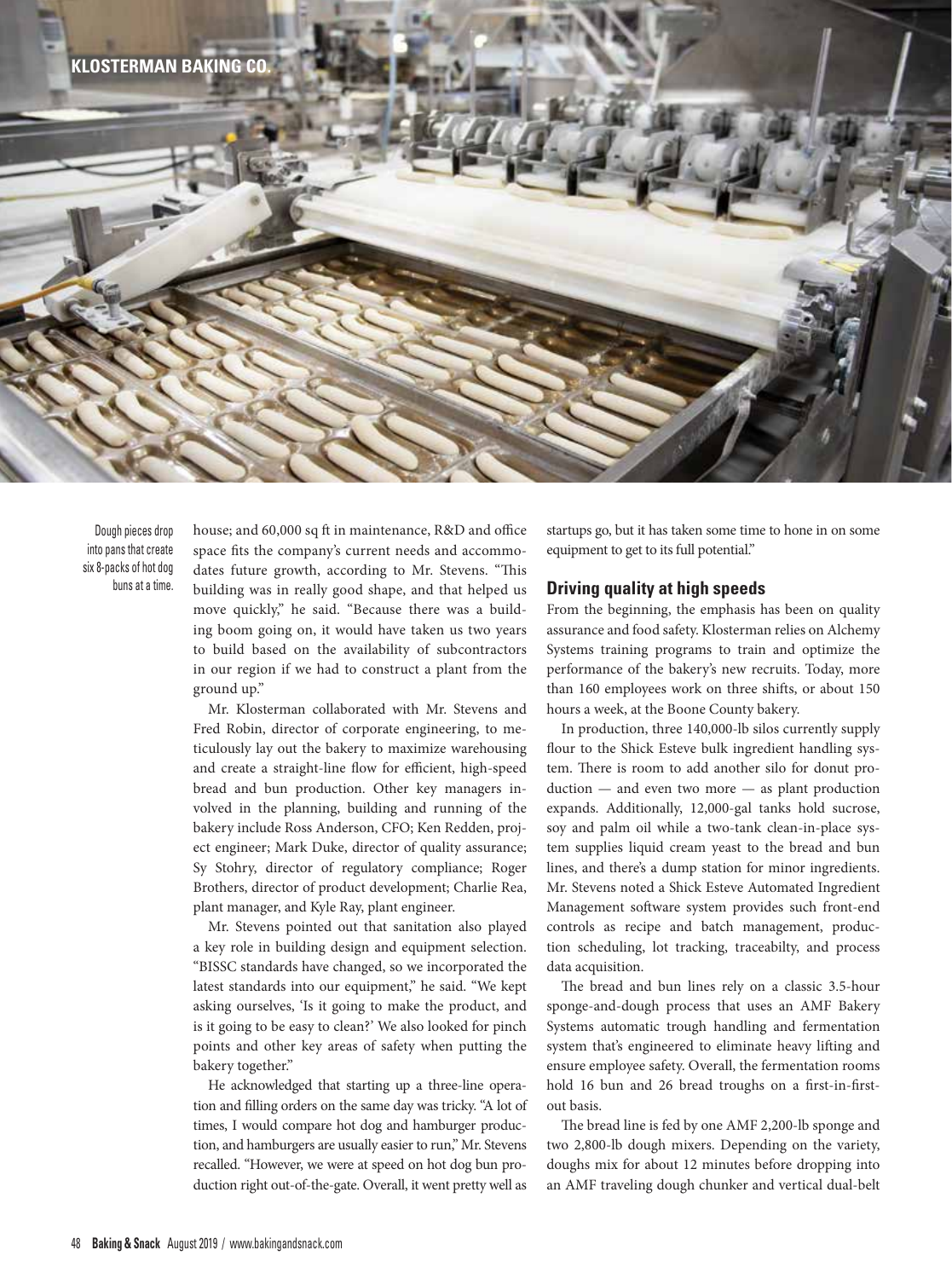

Dough pieces drop into pans that create six 8-packs of hot dog buns at a time.

house; and 60,000 sq ft in maintenance, R&D and office space fits the company's current needs and accommodates future growth, according to Mr. Stevens. "This building was in really good shape, and that helped us move quickly," he said. "Because there was a building boom going on, it would have taken us two years to build based on the availability of subcontractors in our region if we had to construct a plant from the ground up."

Mr. Klosterman collaborated with Mr. Stevens and Fred Robin, director of corporate engineering, to meticulously lay out the bakery to maximize warehousing and create a straight-line flow for efficient, high-speed bread and bun production. Other key managers involved in the planning, building and running of the bakery include Ross Anderson, CFO; Ken Redden, project engineer; Mark Duke, director of quality assurance; Sy Stohry, director of regulatory compliance; Roger Brothers, director of product development; Charlie Rea, plant manager, and Kyle Ray, plant engineer.

Mr. Stevens pointed out that sanitation also played a key role in building design and equipment selection. "BISSC standards have changed, so we incorporated the latest standards into our equipment," he said. "We kept asking ourselves, 'Is it going to make the product, and is it going to be easy to clean?' We also looked for pinch points and other key areas of safety when putting the bakery together."

He acknowledged that starting up a three-line operation and filling orders on the same day was tricky. "A lot of times, I would compare hot dog and hamburger production, and hamburgers are usually easier to run," Mr. Stevens recalled. "However, we were at speed on hot dog bun production right out-of-the-gate. Overall, it went pretty well as

startups go, but it has taken some time to hone in on some equipment to get to its full potential."

#### **Driving quality at high speeds**

From the beginning, the emphasis has been on quality assurance and food safety. Klosterman relies on Alchemy Systems training programs to train and optimize the performance of the bakery's new recruits. Today, more than 160 employees work on three shifts, or about 150 hours a week, at the Boone County bakery.

In production, three 140,000-lb silos currently supply flour to the Shick Esteve bulk ingredient handling system. There is room to add another silo for donut production — and even two more — as plant production expands. Additionally, 12,000-gal tanks hold sucrose, soy and palm oil while a two-tank clean-in-place system supplies liquid cream yeast to the bread and bun lines, and there's a dump station for minor ingredients. Mr. Stevens noted a Shick Esteve Automated Ingredient Management software system provides such front-end controls as recipe and batch management, production scheduling, lot tracking, traceabilty, and process data acquisition.

The bread and bun lines rely on a classic 3.5-hour sponge-and-dough process that uses an AMF Bakery Systems automatic trough handling and fermentation system that's engineered to eliminate heavy lifting and ensure employee safety. Overall, the fermentation rooms hold 16 bun and 26 bread troughs on a first-in-firstout basis.

The bread line is fed by one AMF 2,200-lb sponge and two 2,800-lb dough mixers. Depending on the variety, doughs mix for about 12 minutes before dropping into an AMF traveling dough chunker and vertical dual-belt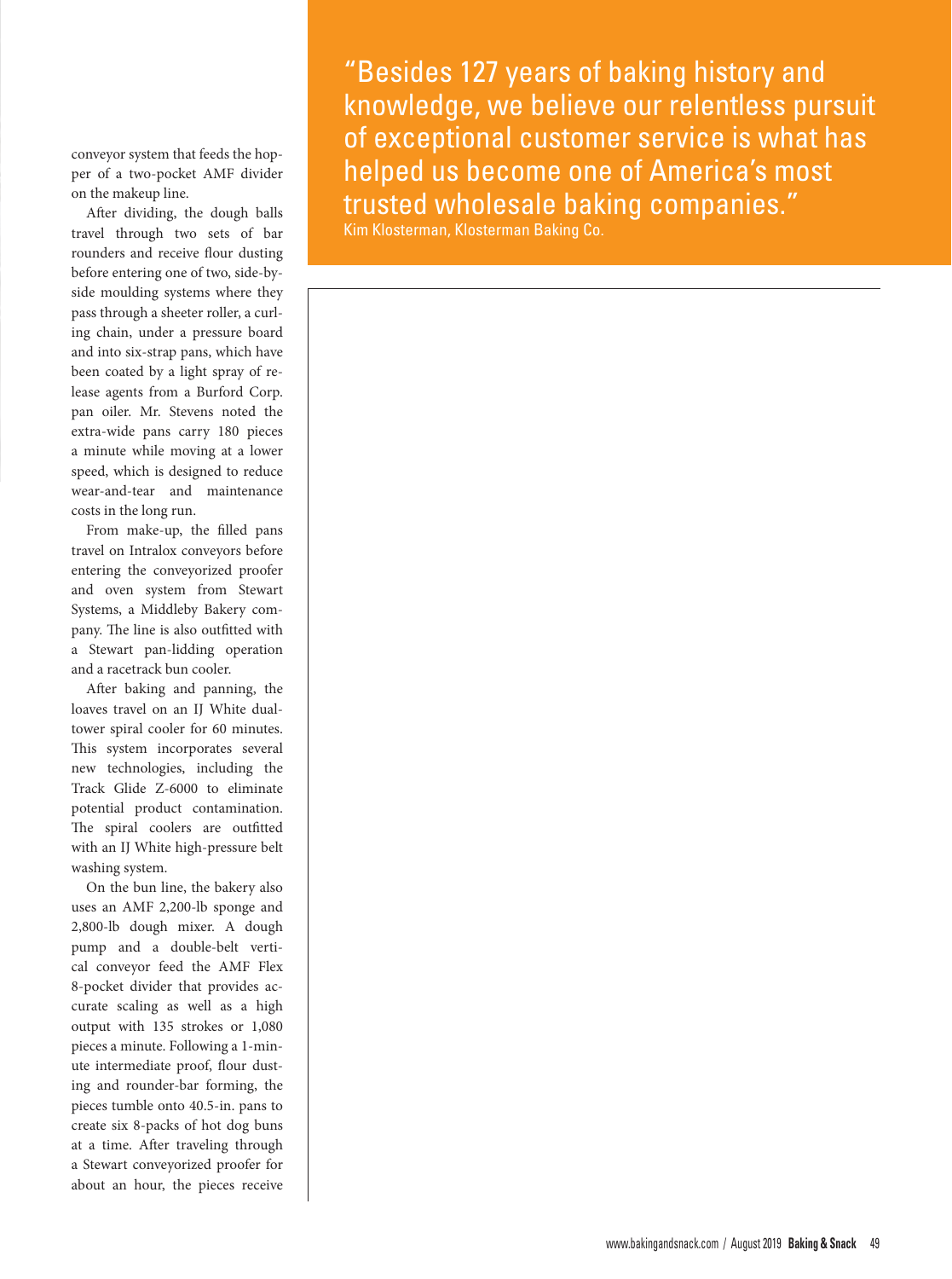conveyor system that feeds the hopper of a two-pocket AMF divider on the makeup line.

After dividing, the dough balls travel through two sets of bar rounders and receive flour dusting before entering one of two, side-byside moulding systems where they pass through a sheeter roller, a curling chain, under a pressure board and into six-strap pans, which have been coated by a light spray of release agents from a Burford Corp. pan oiler. Mr. Stevens noted the extra-wide pans carry 180 pieces a minute while moving at a lower speed, which is designed to reduce wear-and-tear and maintenance costs in the long run.

From make-up, the filled pans travel on Intralox conveyors before entering the conveyorized proofer and oven system from Stewart Systems, a Middleby Bakery company. The line is also outfitted with a Stewart pan-lidding operation and a racetrack bun cooler.

After baking and panning, the loaves travel on an IJ White dualtower spiral cooler for 60 minutes. This system incorporates several new technologies, including the Track Glide Z-6000 to eliminate potential product contamination. The spiral coolers are outfitted with an IJ White high-pressure belt washing system.

On the bun line, the bakery also uses an AMF 2,200-lb sponge and 2,800-lb dough mixer. A dough pump and a double-belt vertical conveyor feed the AMF Flex 8-pocket divider that provides accurate scaling as well as a high output with 135 strokes or 1,080 pieces a minute. Following a 1-minute intermediate proof, flour dusting and rounder-bar forming, the pieces tumble onto 40.5-in. pans to create six 8-packs of hot dog buns at a time. After traveling through a Stewart conveyorized proofer for about an hour, the pieces receive

"Besides 127 years of baking history and knowledge, we believe our relentless pursuit of exceptional customer service is what has helped us become one of America's most trusted wholesale baking companies."

Kim Klosterman, Klosterman Baking Co.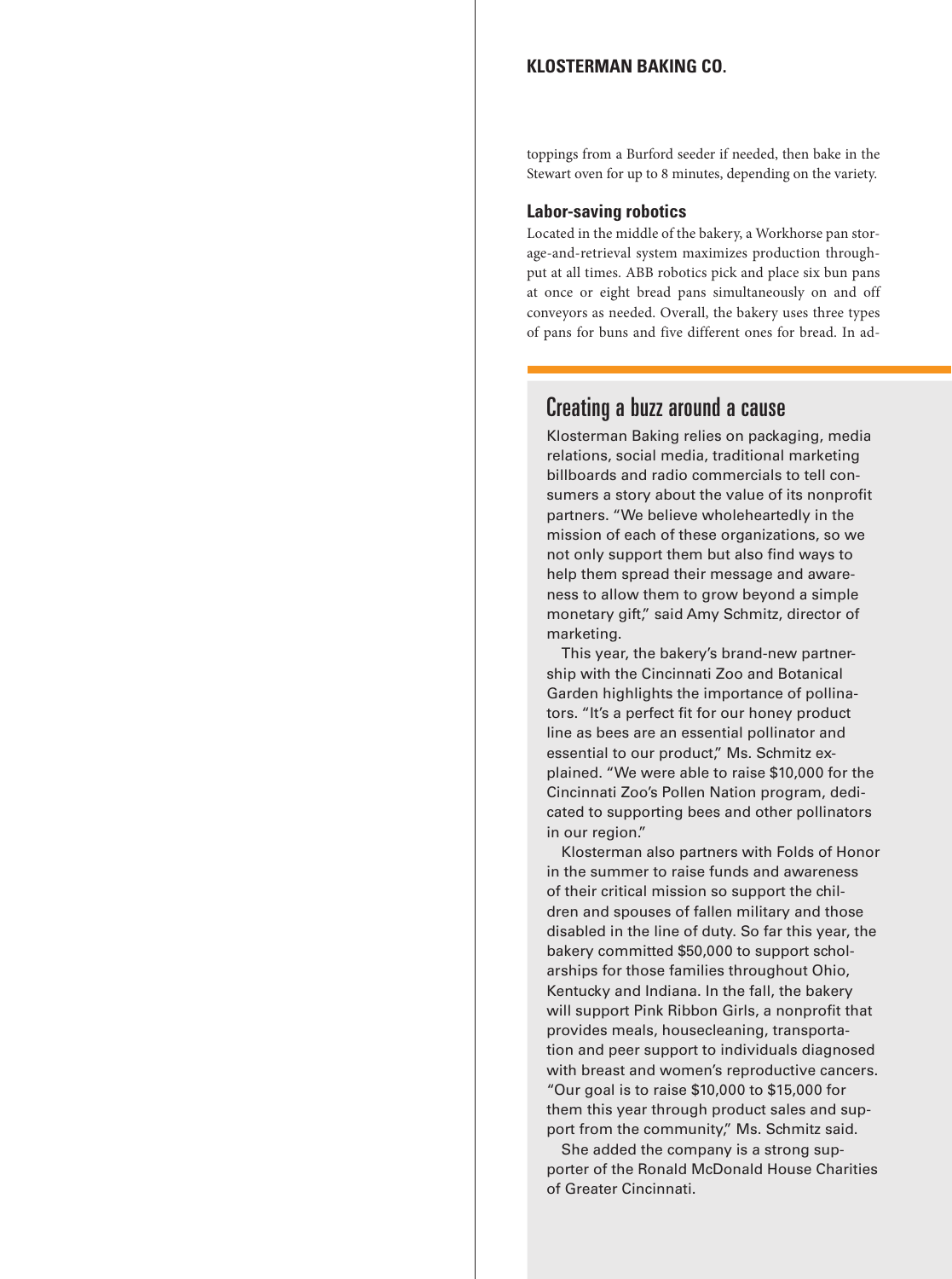#### **KLOSTERMAN BAKING CO.**

toppings from a Burford seeder if needed, then bake in the Stewart oven for up to 8 minutes, depending on the variety.

#### **Labor-saving robotics**

Located in the middle of the bakery, a Workhorse pan storage-and-retrieval system maximizes production throughput at all times. ABB robotics pick and place six bun pans at once or eight bread pans simultaneously on and off conveyors as needed. Overall, the bakery uses three types of pans for buns and five different ones for bread. In ad-

### Creating a buzz around a cause

Klosterman Baking relies on packaging, media relations, social media, traditional marketing billboards and radio commercials to tell consumers a story about the value of its nonprofit partners. "We believe wholeheartedly in the mission of each of these organizations, so we not only support them but also find ways to help them spread their message and awareness to allow them to grow beyond a simple monetary gift," said Amy Schmitz, director of marketing.

This year, the bakery's brand-new partnership with the Cincinnati Zoo and Botanical Garden highlights the importance of pollinators. "It's a perfect fit for our honey product line as bees are an essential pollinator and essential to our product," Ms. Schmitz explained. "We were able to raise \$10,000 for the Cincinnati Zoo's Pollen Nation program, dedicated to supporting bees and other pollinators in our region."

Klosterman also partners with Folds of Honor in the summer to raise funds and awareness of their critical mission so support the children and spouses of fallen military and those disabled in the line of duty. So far this year, the bakery committed \$50,000 to support scholarships for those families throughout Ohio, Kentucky and Indiana. In the fall, the bakery will support Pink Ribbon Girls, a nonprofit that provides meals, housecleaning, transportation and peer support to individuals diagnosed with breast and women's reproductive cancers. "Our goal is to raise \$10,000 to \$15,000 for them this year through product sales and support from the community," Ms. Schmitz said.

She added the company is a strong supporter of the Ronald McDonald House Charities of Greater Cincinnati.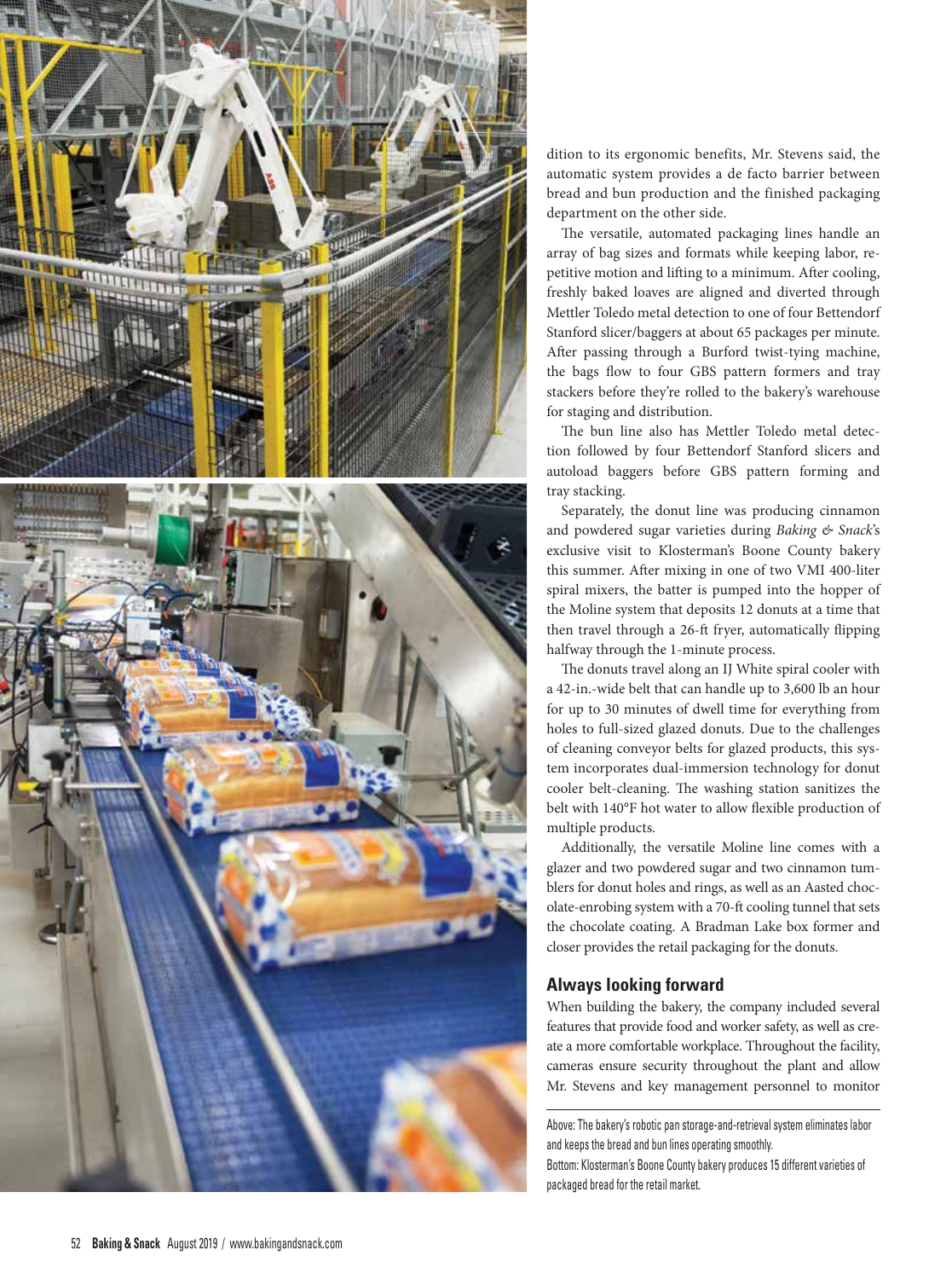

dition to its ergonomic benefits, Mr. Stevens said, the automatic system provides a de facto barrier between bread and bun production and the finished packaging department on the other side.

The versatile, automated packaging lines handle an array of bag sizes and formats while keeping labor, repetitive motion and lifting to a minimum. After cooling, freshly baked loaves are aligned and diverted through Mettler Toledo metal detection to one of four Bettendorf Stanford slicer/baggers at about 65 packages per minute. After passing through a Burford twist-tying machine, the bags flow to four GBS pattern formers and tray stackers before they're rolled to the bakery's warehouse for staging and distribution.

The bun line also has Mettler Toledo metal detection followed by four Bettendorf Stanford slicers and autoload baggers before GBS pattern forming and tray stacking.

Separately, the donut line was producing cinnamon and powdered sugar varieties during *Baking & Snack*'s exclusive visit to Klosterman's Boone County bakery this summer. After mixing in one of two VMI 400-liter spiral mixers, the batter is pumped into the hopper of the Moline system that deposits 12 donuts at a time that then travel through a 26-ft fryer, automatically flipping halfway through the 1-minute process.

The donuts travel along an IJ White spiral cooler with a 42-in.-wide belt that can handle up to 3,600 lb an hour for up to 30 minutes of dwell time for everything from holes to full-sized glazed donuts. Due to the challenges of cleaning conveyor belts for glazed products, this system incorporates dual-immersion technology for donut cooler belt-cleaning. The washing station sanitizes the belt with 140°F hot water to allow flexible production of multiple products.

Additionally, the versatile Moline line comes with a glazer and two powdered sugar and two cinnamon tumblers for donut holes and rings, as well as an Aasted chocolate-enrobing system with a 70-ft cooling tunnel that sets the chocolate coating. A Bradman Lake box former and closer provides the retail packaging for the donuts.

#### **Always looking forward**

When building the bakery, the company included several features that provide food and worker safety, as well as create a more comfortable workplace. Throughout the facility, cameras ensure security throughout the plant and allow Mr. Stevens and key management personnel to monitor

Above: The bakery's robotic pan storage-and-retrieval system eliminates labor and keeps the bread and bun lines operating smoothly. Bottom: Klosterman's Boone County bakery produces 15 different varieties of packaged bread for the retail market.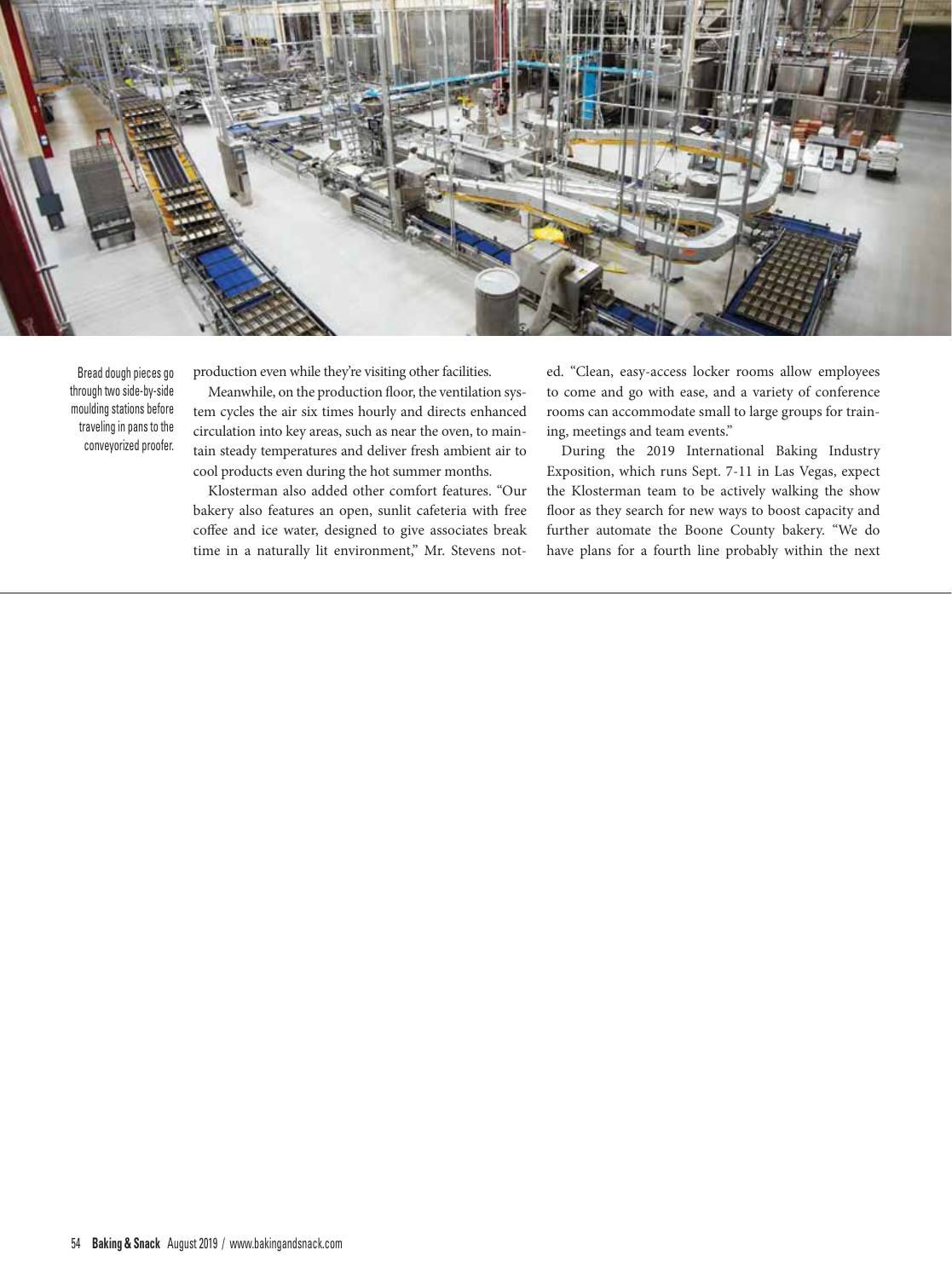

Bread dough pieces go through two side-by-side moulding stations before traveling in pans to the conveyorized proofer. production even while they're visiting other facilities.

Meanwhile, on the production floor, the ventilation system cycles the air six times hourly and directs enhanced circulation into key areas, such as near the oven, to maintain steady temperatures and deliver fresh ambient air to cool products even during the hot summer months.

Klosterman also added other comfort features. "Our bakery also features an open, sunlit cafeteria with free coffee and ice water, designed to give associates break time in a naturally lit environment," Mr. Stevens noted. "Clean, easy-access locker rooms allow employees to come and go with ease, and a variety of conference rooms can accommodate small to large groups for training, meetings and team events."

During the 2019 International Baking Industry Exposition, which runs Sept. 7-11 in Las Vegas, expect the Klosterman team to be actively walking the show floor as they search for new ways to boost capacity and further automate the Boone County bakery. "We do have plans for a fourth line probably within the next